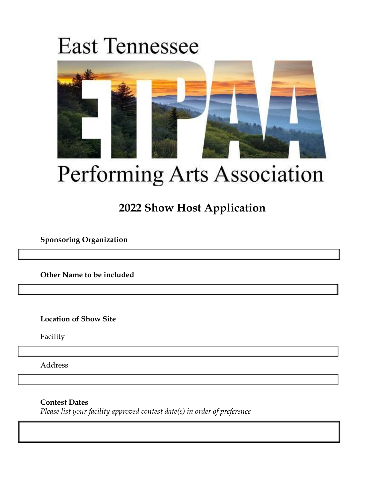# **East Tennessee**



# Performing Arts Association

# **2022 Show Host Application**

**Sponsoring Organization**

**Other Name to be included**

**Location of Show Site**

Facility

Address

**Contest Dates**

*Please list your facility approved contest date(s) in order of preference*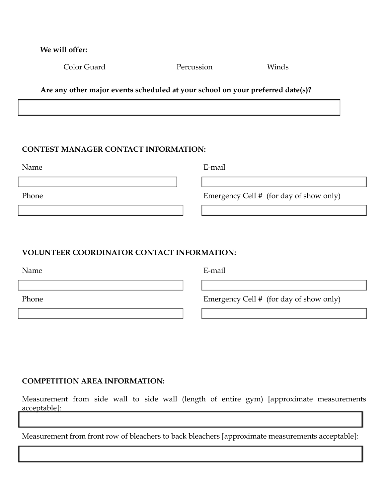| We will offer: |            |       |
|----------------|------------|-------|
| Color Guard    | Percussion | Winds |

**Are any other major events scheduled at your school on your preferred date(s)?**

# **CONTEST MANAGER CONTACT INFORMATION:**

Name E-mail

Phone Emergency Cell # (for day of show only)

### **VOLUNTEER COORDINATOR CONTACT INFORMATION:**

Name E-mail

Phone Emergency Cell # (for day of show only)

#### **COMPETITION AREA INFORMATION:**

Measurement from side wall to side wall (length of entire gym) [approximate measurements acceptable]:

Measurement from front row of bleachers to back bleachers [approximate measurements acceptable]: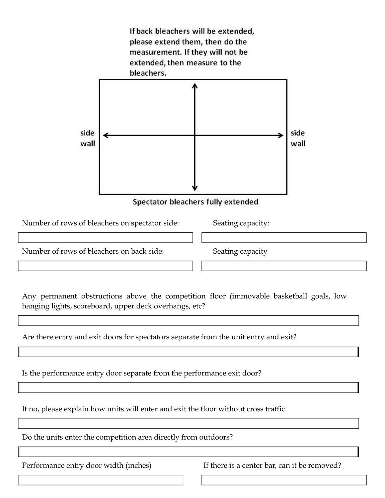

Is the performance entry door separate from the performance exit door?

If no, please explain how units will enter and exit the floor without cross traffic.

Do the units enter the competition area directly from outdoors?

Performance entry door width (inches) If there is a center bar, can it be removed?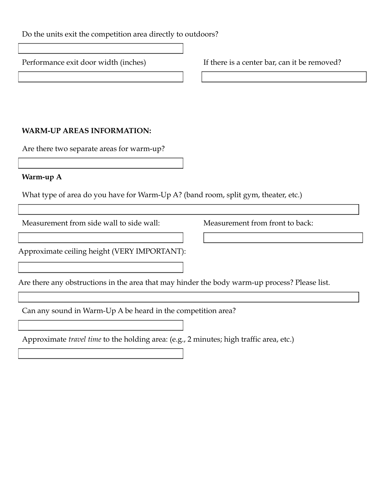Do the units exit the competition area directly to outdoors?

Performance exit door width (inches) If there is a center bar, can it be removed?

# **WARM-UP AREAS INFORMATION:**

Are there two separate areas for warm-up?

#### **Warm-up A**

What type of area do you have for Warm-Up A? (band room, split gym, theater, etc.)

Measurement from side wall to side wall: Measurement from front to back:

Approximate ceiling height (VERY IMPORTANT):

Are there any obstructions in the area that may hinder the body warm-up process? Please list.

Can any sound in Warm-Up A be heard in the competition area?

Approximate *travel time* to the holding area: (e.g., 2 minutes; high traffic area, etc.)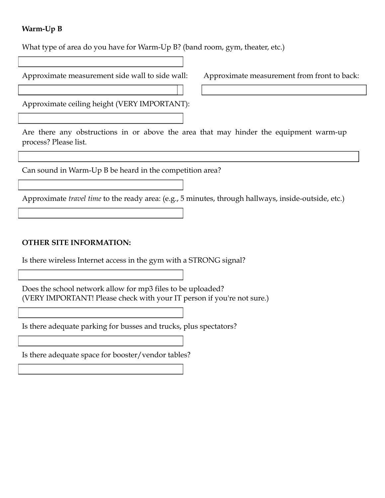# **Warm-Up B**

What type of area do you have for Warm-Up B? (band room, gym, theater, etc.)

| Approximate measurement side wall to side wall:<br>Approximate measurement from front to back:                 |  |  |
|----------------------------------------------------------------------------------------------------------------|--|--|
|                                                                                                                |  |  |
| Approximate ceiling height (VERY IMPORTANT):                                                                   |  |  |
|                                                                                                                |  |  |
| Are there any obstructions in or above the area that may hinder the equipment warm-up<br>process? Please list. |  |  |
|                                                                                                                |  |  |
| Can sound in Warm-Up B be heard in the competition area?                                                       |  |  |
|                                                                                                                |  |  |
| Approximate <i>travel time</i> to the ready area: (e.g., 5 minutes, through hallways, inside-outside, etc.)    |  |  |
|                                                                                                                |  |  |
|                                                                                                                |  |  |
| <b>OTHER SITE INFORMATION:</b>                                                                                 |  |  |

Is there wireless Internet access in the gym with a STRONG signal?

Does the school network allow for mp3 files to be uploaded? (VERY IMPORTANT! Please check with your IT person if you're not sure.)

Is there adequate parking for busses and trucks, plus spectators?

Is there adequate space for booster/vendor tables?